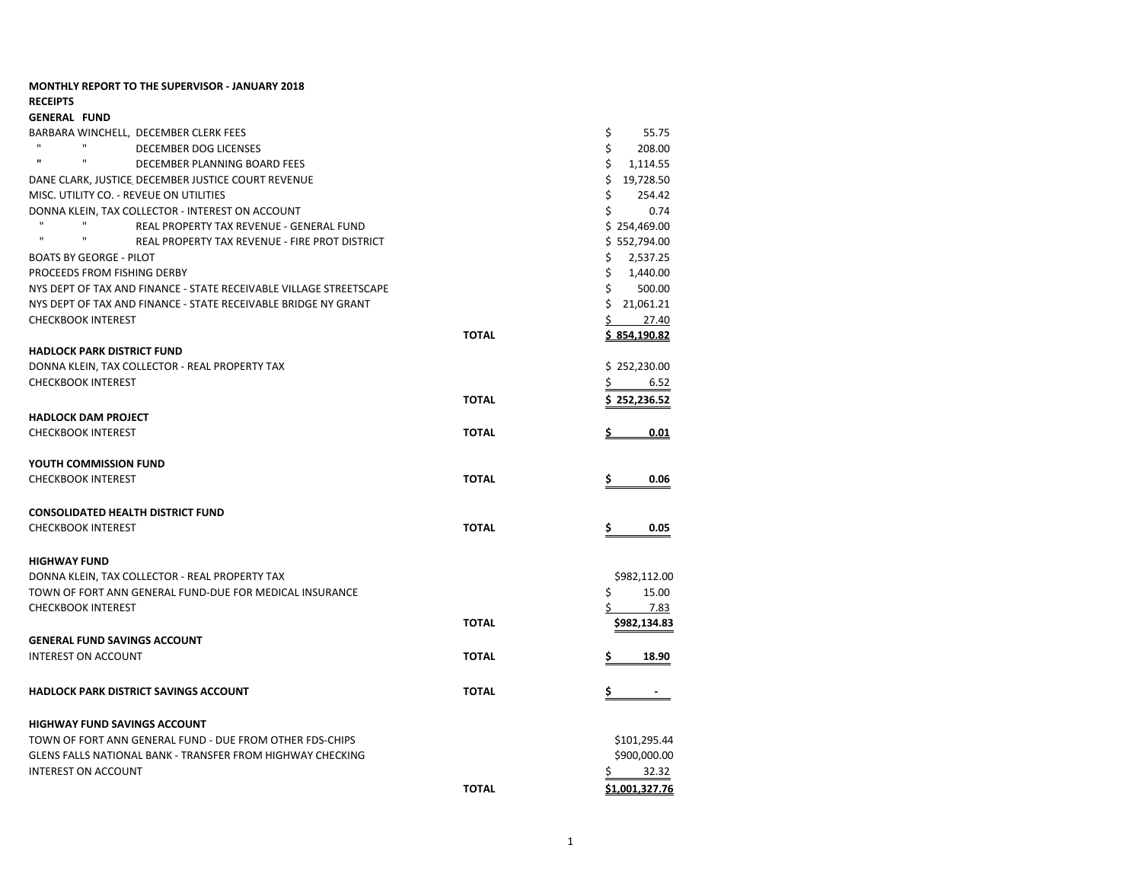| <b>MONTHLY REPORT TO THE SUPERVISOR - JANUARY 2018</b>                         |              |                     |
|--------------------------------------------------------------------------------|--------------|---------------------|
| <b>RECEIPTS</b>                                                                |              |                     |
| <b>GENERAL FUND</b><br>BARBARA WINCHELL,  DECEMBER CLERK FEES                  |              | \$<br>55.75         |
| $\mathbf{u}$<br>$\mathbf{H}$<br>DECEMBER DOG LICENSES                          |              | \$<br>208.00        |
| $\mathbf{u}$<br>$\mathbf{H}$<br>DECEMBER PLANNING BOARD FEES                   |              | \$<br>1,114.55      |
| DANE CLARK, JUSTICE DECEMBER JUSTICE COURT REVENUE                             |              | \$19,728.50         |
| MISC. UTILITY CO. - REVEUE ON UTILITIES                                        |              | \$<br>254.42        |
| DONNA KLEIN, TAX COLLECTOR - INTEREST ON ACCOUNT                               |              | Ś.<br>0.74          |
| $\mathbf{H}$<br>REAL PROPERTY TAX REVENUE - GENERAL FUND                       |              | \$254,469.00        |
| $\mathbf{H}$<br>$\mathbf{H}$<br>REAL PROPERTY TAX REVENUE - FIRE PROT DISTRICT |              | \$552,794.00        |
| BOATS BY GEORGE - PILOT                                                        |              | \$<br>2,537.25      |
| PROCEEDS FROM FISHING DERBY                                                    |              | \$<br>1,440.00      |
| NYS DEPT OF TAX AND FINANCE - STATE RECEIVABLE VILLAGE STREETSCAPE             |              | \$<br>500.00        |
| NYS DEPT OF TAX AND FINANCE - STATE RECEIVABLE BRIDGE NY GRANT                 |              | \$21,061.21         |
| <b>CHECKBOOK INTEREST</b>                                                      |              | S.<br>27.40         |
|                                                                                | <b>TOTAL</b> | <u>\$854,190.82</u> |
| <b>HADLOCK PARK DISTRICT FUND</b>                                              |              |                     |
| DONNA KLEIN, TAX COLLECTOR - REAL PROPERTY TAX                                 |              | \$252,230.00        |
| <b>CHECKBOOK INTEREST</b>                                                      |              | Ś<br>6.52           |
|                                                                                | <b>TOTAL</b> | \$252,236.52        |
| <b>HADLOCK DAM PROJECT</b>                                                     |              |                     |
| <b>CHECKBOOK INTEREST</b>                                                      | <b>TOTAL</b> | 0.01                |
| YOUTH COMMISSION FUND                                                          |              |                     |
| <b>CHECKBOOK INTEREST</b>                                                      | <b>TOTAL</b> | S<br>0.06           |
| <b>CONSOLIDATED HEALTH DISTRICT FUND</b>                                       |              |                     |
| <b>CHECKBOOK INTEREST</b>                                                      | <b>TOTAL</b> | 0.05                |
|                                                                                |              |                     |
| <b>HIGHWAY FUND</b>                                                            |              |                     |
| DONNA KLEIN, TAX COLLECTOR - REAL PROPERTY TAX                                 |              | \$982,112.00        |
| TOWN OF FORT ANN GENERAL FUND-DUE FOR MEDICAL INSURANCE                        |              | Ś<br>15.00          |
| <b>CHECKBOOK INTEREST</b>                                                      |              | \$<br>7.83          |
|                                                                                | <b>TOTAL</b> | \$982,134.83        |
| GENERAL FUND SAVINGS ACCOUNT                                                   |              |                     |
| <b>INTEREST ON ACCOUNT</b>                                                     | <b>TOTAL</b> | 18.90               |
| HADLOCK PARK DISTRICT SAVINGS ACCOUNT                                          | <b>TOTAL</b> |                     |
| <b>HIGHWAY FUND SAVINGS ACCOUNT</b>                                            |              |                     |
| TOWN OF FORT ANN GENERAL FUND - DUE FROM OTHER FDS-CHIPS                       |              | \$101,295.44        |
| <b>GLENS FALLS NATIONAL BANK - TRANSFER FROM HIGHWAY CHECKING</b>              |              | \$900,000.00        |
| <b>INTEREST ON ACCOUNT</b>                                                     |              | 32.32               |
|                                                                                | <b>TOTAL</b> | \$1.001.327.76      |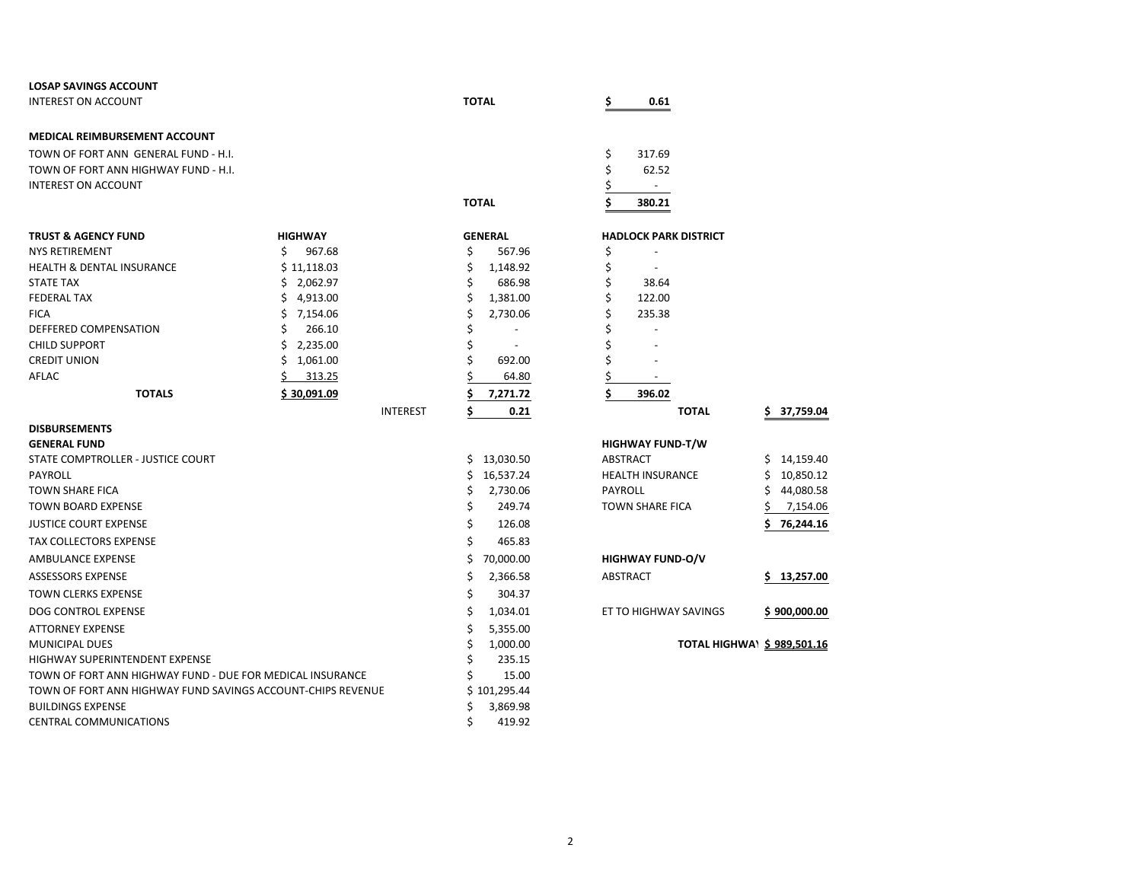| <b>LOSAP SAVINGS ACCOUNT</b>                                |                                |                                |                                            |                            |
|-------------------------------------------------------------|--------------------------------|--------------------------------|--------------------------------------------|----------------------------|
| <b>INTEREST ON ACCOUNT</b>                                  |                                | <b>TOTAL</b>                   | 0.61<br>S                                  |                            |
| <b>MEDICAL REIMBURSEMENT ACCOUNT</b>                        |                                |                                |                                            |                            |
| TOWN OF FORT ANN GENERAL FUND - H.I.                        |                                |                                | \$<br>317.69                               |                            |
| TOWN OF FORT ANN HIGHWAY FUND - H.I.                        |                                |                                | \$<br>62.52                                |                            |
| <b>INTEREST ON ACCOUNT</b>                                  |                                |                                | \$<br>$\overline{\phantom{a}}$             |                            |
|                                                             |                                | <b>TOTAL</b>                   | \$<br>380.21                               |                            |
|                                                             |                                |                                |                                            |                            |
| <b>TRUST &amp; AGENCY FUND</b><br><b>NYS RETIREMENT</b>     | <b>HIGHWAY</b><br>Ś.<br>967.68 | <b>GENERAL</b><br>\$<br>567.96 | <b>HADLOCK PARK DISTRICT</b>               |                            |
| <b>HEALTH &amp; DENTAL INSURANCE</b>                        | \$11,118.03                    | \$                             | \$<br>\$                                   |                            |
| <b>STATE TAX</b>                                            | \$2,062.97                     | 1,148.92<br>\$<br>686.98       | \$<br>38.64                                |                            |
| <b>FEDERAL TAX</b>                                          | \$4,913.00                     | \$<br>1,381.00                 | \$<br>122.00                               |                            |
| <b>FICA</b>                                                 | \$.<br>7,154.06                | \$<br>2,730.06                 | Ś<br>235.38                                |                            |
| DEFFERED COMPENSATION                                       | Ś<br>266.10                    | \$<br>$\blacksquare$           | Ś                                          |                            |
| <b>CHILD SUPPORT</b>                                        | 2,235.00<br>\$                 | \$                             | Ś                                          |                            |
| <b>CREDIT UNION</b>                                         | Ś.<br>1,061.00                 | Ś<br>692.00                    | \$                                         |                            |
| AFLAC                                                       | 313.25                         | 64.80                          | \$                                         |                            |
| <b>TOTALS</b>                                               | \$30,091.09                    | Ś<br>7,271.72                  | \$<br>396.02                               |                            |
|                                                             | <b>INTEREST</b>                | \$<br>0.21                     | <b>TOTAL</b>                               | 37,759.04<br>S.            |
|                                                             |                                |                                |                                            |                            |
| <b>DISBURSEMENTS</b>                                        |                                |                                |                                            |                            |
| <b>GENERAL FUND</b><br>STATE COMPTROLLER - JUSTICE COURT    |                                | \$13,030.50                    | <b>HIGHWAY FUND-T/W</b><br><b>ABSTRACT</b> | 14,159.40<br>Ś.            |
| <b>PAYROLL</b>                                              |                                | \$<br>16,537.24                | <b>HEALTH INSURANCE</b>                    | 10,850.12                  |
| <b>TOWN SHARE FICA</b>                                      |                                | \$<br>2,730.06                 | PAYROLL                                    | 44,080.58                  |
| <b>TOWN BOARD EXPENSE</b>                                   |                                | \$<br>249.74                   | <b>TOWN SHARE FICA</b>                     | 7,154.06                   |
| <b>JUSTICE COURT EXPENSE</b>                                |                                | \$<br>126.08                   |                                            | 76,244.16                  |
| <b>TAX COLLECTORS EXPENSE</b>                               |                                | \$                             |                                            |                            |
|                                                             |                                | 465.83                         |                                            |                            |
| AMBULANCE EXPENSE                                           |                                | \$<br>70,000.00                | <b>HIGHWAY FUND-O/V</b>                    |                            |
| <b>ASSESSORS EXPENSE</b>                                    |                                | \$<br>2,366.58                 | <b>ABSTRACT</b>                            | \$.<br>13,257.00           |
| <b>TOWN CLERKS EXPENSE</b>                                  |                                | \$<br>304.37                   |                                            |                            |
| <b>DOG CONTROL EXPENSE</b>                                  |                                | \$<br>1,034.01                 | ET TO HIGHWAY SAVINGS                      | \$900,000.00               |
| <b>ATTORNEY EXPENSE</b>                                     |                                | \$<br>5,355.00                 |                                            |                            |
| <b>MUNICIPAL DUES</b>                                       |                                | \$<br>1,000.00                 |                                            | TOTAL HIGHWA\ \$989,501.16 |
| <b>HIGHWAY SUPERINTENDENT EXPENSE</b>                       |                                | Ś<br>235.15                    |                                            |                            |
| TOWN OF FORT ANN HIGHWAY FUND - DUE FOR MEDICAL INSURANCE   |                                | Ś<br>15.00                     |                                            |                            |
| TOWN OF FORT ANN HIGHWAY FUND SAVINGS ACCOUNT-CHIPS REVENUE |                                | \$101,295.44                   |                                            |                            |
| <b>BUILDINGS EXPENSE</b>                                    |                                | \$<br>3,869.98                 |                                            |                            |
| <b>CENTRAL COMMUNICATIONS</b>                               |                                | Ś<br>419.92                    |                                            |                            |

| \$      | 396.02                  |              |    |      |
|---------|-------------------------|--------------|----|------|
|         |                         | <b>TOTAL</b> | \$ | 37,7 |
|         |                         |              |    |      |
|         | <b>HIGHWAY FUND-T/W</b> |              |    |      |
|         | <b>ABSTRACT</b>         |              | Ś  | 14.1 |
|         | <b>HEALTH INSURANCE</b> |              | Ś  | 10.8 |
| PAYROLL |                         |              | Ś  | 44.0 |

| ABSTRACT | \$13,257.0                      |
|----------|---------------------------------|
|          |                                 |
|          | $\ddot{ }$ case case $\ddot{ }$ |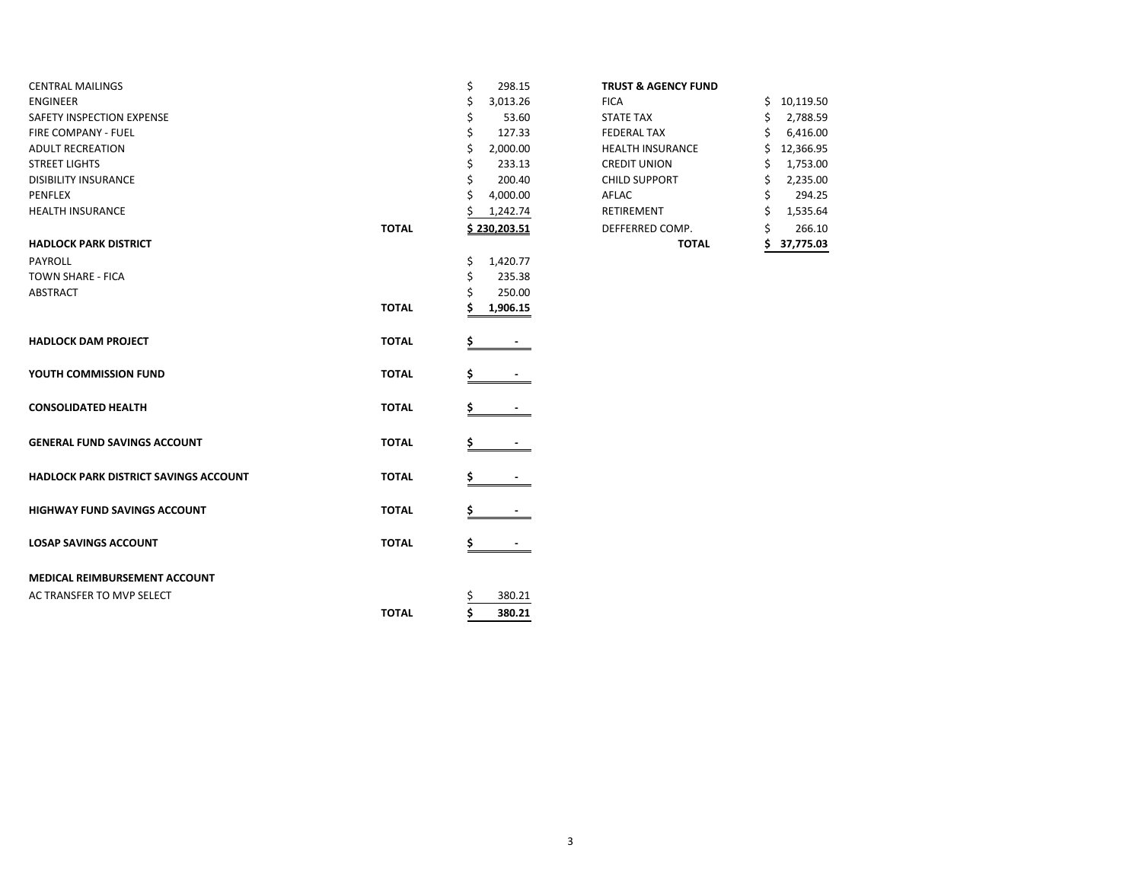| <b>CENTRAL MAILINGS</b>               |              | \$<br>298.15        | <b>TRUST &amp; AGENCY FUND</b> |                  |
|---------------------------------------|--------------|---------------------|--------------------------------|------------------|
| <b>ENGINEER</b>                       |              | 3,013.26            | <b>FICA</b>                    | 10,119.50<br>Ś.  |
| SAFETY INSPECTION EXPENSE             |              | 53.60<br>\$         | <b>STATE TAX</b>               | 2,788.59<br>S    |
| FIRE COMPANY - FUEL                   |              | Ś<br>127.33         | <b>FEDERAL TAX</b>             | 6,416.00         |
| <b>ADULT RECREATION</b>               |              | 2,000.00<br>\$      | <b>HEALTH INSURANCE</b>        | 12,366.95        |
| <b>STREET LIGHTS</b>                  |              | Ś<br>233.13         | <b>CREDIT UNION</b>            | 1,753.00         |
| <b>DISIBILITY INSURANCE</b>           |              | 200.40<br>Ś         | <b>CHILD SUPPORT</b>           | 2,235.00         |
| PENFLEX                               |              | 4,000.00<br>Ś       | AFLAC                          | 294.25           |
| <b>HEALTH INSURANCE</b>               |              | 1,242.74            | RETIREMENT                     | 1,535.64<br>Ś    |
|                                       | <b>TOTAL</b> | <u>\$230,203.51</u> | DEFFERRED COMP.                | 266.10           |
| <b>HADLOCK PARK DISTRICT</b>          |              |                     | <b>TOTAL</b>                   | 37,775.03<br>\$. |
| PAYROLL                               |              | \$<br>1,420.77      |                                |                  |
| TOWN SHARE - FICA                     |              | 235.38<br>\$        |                                |                  |
| <b>ABSTRACT</b>                       |              | 250.00              |                                |                  |
|                                       | <b>TOTAL</b> | 1,906.15            |                                |                  |
| <b>HADLOCK DAM PROJECT</b>            | <b>TOTAL</b> |                     |                                |                  |
| YOUTH COMMISSION FUND                 | <b>TOTAL</b> |                     |                                |                  |
| <b>CONSOLIDATED HEALTH</b>            | <b>TOTAL</b> |                     |                                |                  |
| <b>GENERAL FUND SAVINGS ACCOUNT</b>   | <b>TOTAL</b> |                     |                                |                  |
| HADLOCK PARK DISTRICT SAVINGS ACCOUNT | <b>TOTAL</b> |                     |                                |                  |
| <b>HIGHWAY FUND SAVINGS ACCOUNT</b>   | <b>TOTAL</b> |                     |                                |                  |
| <b>LOSAP SAVINGS ACCOUNT</b>          | <b>TOTAL</b> | \$                  |                                |                  |
| MEDICAL REIMBURSEMENT ACCOUNT         |              |                     |                                |                  |
| AC TRANSFER TO MVP SELECT             |              | 380.21<br>Ş         |                                |                  |
|                                       | <b>TOTAL</b> | Ś<br>380.21         |                                |                  |
|                                       |              |                     |                                |                  |

#### **TRUST & AGENCY FUND**

|       |                | <b>TOTAL</b>            | 37,775.03       |
|-------|----------------|-------------------------|-----------------|
| ΤΟΤΑL | \$230,203.51   | DEFFERRED COMP.         | \$<br>266.10    |
|       | \$<br>1,242.74 | RETIREMENT              | \$<br>1,535.64  |
|       | \$<br>4,000.00 | <b>AFLAC</b>            | \$<br>294.25    |
|       | \$<br>200.40   | <b>CHILD SUPPORT</b>    | \$<br>2,235.00  |
|       | \$<br>233.13   | <b>CREDIT UNION</b>     | \$<br>1,753.00  |
|       | \$<br>2,000.00 | <b>HEALTH INSURANCE</b> | \$<br>12,366.95 |
|       | \$<br>127.33   | <b>FEDERAL TAX</b>      | \$<br>6,416.00  |
|       | \$<br>53.60    | <b>STATE TAX</b>        | \$<br>2,788.59  |
|       | \$<br>3,013.26 | <b>FICA</b>             | \$<br>10,119.50 |